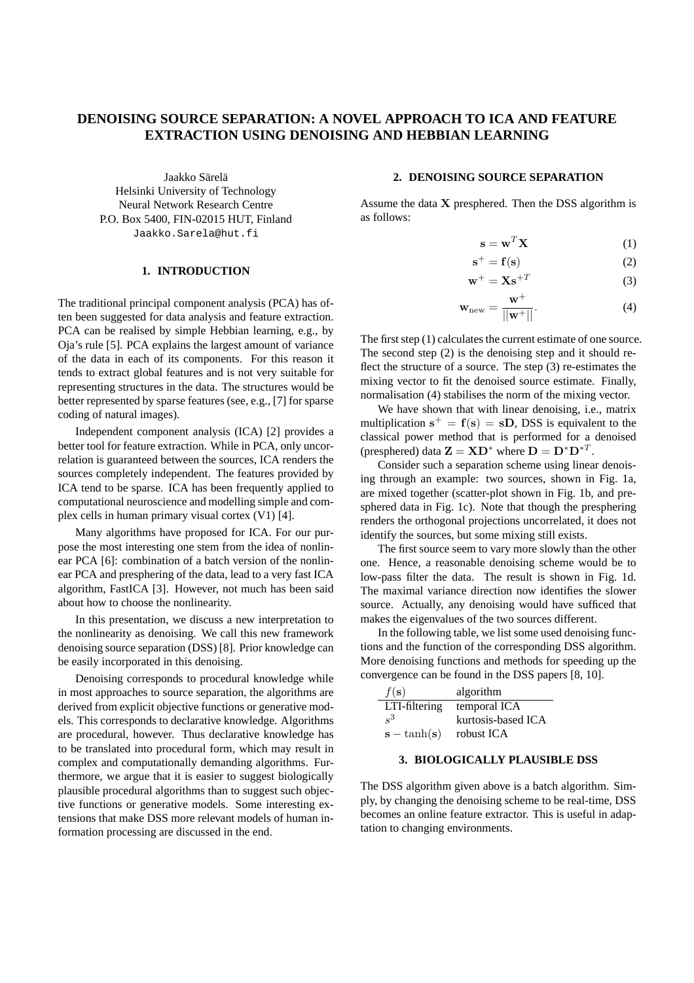# **DENOISING SOURCE SEPARATION: A NOVEL APPROACH TO ICA AND FEATURE EXTRACTION USING DENOISING AND HEBBIAN LEARNING**

Jaakko Särelä Helsinki University of Technology Neural Network Research Centre P.O. Box 5400, FIN-02015 HUT, Finland Jaakko.Sarela@hut.fi

## **1. INTRODUCTION**

The traditional principal component analysis (PCA) has often been suggested for data analysis and feature extraction. PCA can be realised by simple Hebbian learning, e.g., by Oja's rule [5]. PCA explains the largest amount of variance of the data in each of its components. For this reason it tends to extract global features and is not very suitable for representing structures in the data. The structures would be better represented by sparse features (see, e.g., [7] for sparse coding of natural images).

Independent component analysis (ICA) [2] provides a better tool for feature extraction. While in PCA, only uncorrelation is guaranteed between the sources, ICA renders the sources completely independent. The features provided by ICA tend to be sparse. ICA has been frequently applied to computational neuroscience and modelling simple and complex cells in human primary visual cortex (V1) [4].

Many algorithms have proposed for ICA. For our purpose the most interesting one stem from the idea of nonlinear PCA [6]: combination of a batch version of the nonlinear PCA and presphering of the data, lead to a very fast ICA algorithm, FastICA [3]. However, not much has been said about how to choose the nonlinearity.

In this presentation, we discuss a new interpretation to the nonlinearity as denoising. We call this new framework denoising source separation (DSS) [8]. Prior knowledge can be easily incorporated in this denoising.

Denoising corresponds to procedural knowledge while in most approaches to source separation, the algorithms are derived from explicit objective functions or generative models. This corresponds to declarative knowledge. Algorithms are procedural, however. Thus declarative knowledge has to be translated into procedural form, which may result in complex and computationally demanding algorithms. Furthermore, we argue that it is easier to suggest biologically plausible procedural algorithms than to suggest such objective functions or generative models. Some interesting extensions that make DSS more relevant models of human information processing are discussed in the end.

### **2. DENOISING SOURCE SEPARATION**

Assume the data  $X$  presphered. Then the DSS algorithm is as follows:

$$
\mathbf{s} = \mathbf{w}^T \mathbf{X} \tag{1}
$$

$$
\mathbf{s}^+ = \mathbf{f}(\mathbf{s})\tag{2}
$$

$$
\mathbf{w}^+ = \mathbf{X}\mathbf{s}^{+T} \tag{3}
$$

$$
\mathbf{w}_{\text{new}} = \frac{\mathbf{w}^+}{||\mathbf{w}^+||}.
$$
 (4)

The first step  $(1)$  calculates the current estimate of one source. The second step (2) is the denoising step and it should reflect the structure of a source. The step (3) re-estimates the mixing vector to fit the denoised source estimate. Finally, normalisation (4) stabilises the norm of the mixing vector.

We have shown that with linear denoising, i.e., matrix multiplication  $s^+ = f(s) = sD$ , DSS is equivalent to the classical power method that is performed for a denoised (presphered) data  $\mathbf{Z} = \mathbf{X} \mathbf{D}^*$  where  $\mathbf{D} = \mathbf{D}^* \mathbf{D}^{*T}$ .

Consider such a separation scheme using linear denoising through an example: two sources, shown in Fig. 1a, are mixed together (scatter-plot shown in Fig. 1b, and presphered data in Fig. 1c). Note that though the presphering renders the orthogonal projections uncorrelated, it does not identify the sources, but some mixing still exists.

The first source seem to vary more slowly than the other one. Hence, a reasonable denoising scheme would be to low-pass filter the data. The result is shown in Fig. 1d. The maximal variance direction now identifies the slower source. Actually, any denoising would have sufficed that makes the eigenvalues of the two sources different.

In the following table, we list some used denoising functions and the function of the corresponding DSS algorithm. More denoising functions and methods for speeding up the convergence can be found in the DSS papers [8, 10].

| $f(\mathbf{s})$ | algorithm          |
|-----------------|--------------------|
| LTI-filtering   | temporal ICA       |
| $\mathbf{S}^3$  | kurtosis-based ICA |
| $s - \tanh(s)$  | robust ICA         |

#### **3. BIOLOGICALLY PLAUSIBLE DSS**

The DSS algorithm given above is a batch algorithm. Simply, by changing the denoising scheme to be real-time, DSS becomes an online feature extractor. This is useful in adaptation to changing environments.